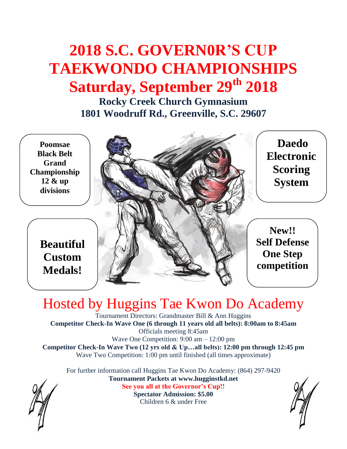# **2018 S.C. GOVERN0R'S CUP TAEKWONDO CHAMPIONSHIPS Saturday, September 29th 2018**

**Rocky Creek Church Gymnasium 1801 Woodruff Rd., Greenville, S.C. 29607**

**Poomsae Black Belt Grand Championship 12 & up divisions** 

> **Beautiful Custom Medals!**

**Daedo Electronic Scoring System** 

**New!! Self Defense One Step competition**

# Hosted by Huggins Tae Kwon Do Academy

Tournament Directors: Grandmaster Bill & Ann Huggins **Competitor Check-In Wave One (6 through 11 years old all belts): 8:00am to 8:45am**  Officials meeting 8:45am Wave One Competition: 9:00 am – 12:00 pm **Competitor Check-In Wave Two (12 yrs old & Up…all belts): 12:00 pm through 12:45 pm** Wave Two Competition: 1:00 pm until finished (all times approximate)

For further information call Huggins Tae Kwon Do Academy: (864) 297-9420 **Tournament Packets at www.hugginstkd.net**

**See you all at the Governor's Cup!!**

**Spectator Admission: \$5.00** Children 6 & under Free

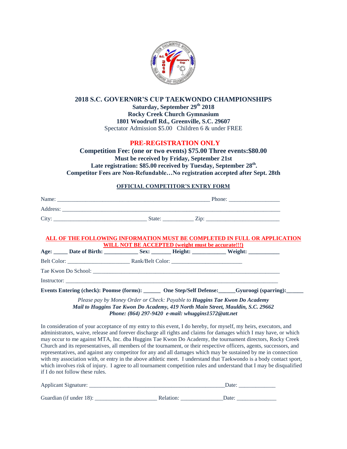

#### **2018 S.C. GOVERN0R'S CUP TAEKWONDO CHAMPIONSHIPS**

**Saturday, September 29th 2018 Rocky Creek Church Gymnasium 1801 Woodruff Rd., Greenville, S.C. 29607** Spectator Admission \$5.00 Children 6 & under FREE

#### **PRE-REGISTRATION ONLY**

**Competition Fee: (one or two events) \$75.00 Three events:\$80.00 Must be received by Friday, September 21st** Late registration: \$85.00 received by Tuesday, September 28<sup>th</sup>. **Competitor Fees are Non-Refundable…No registration accepted after Sept. 28th**

#### **OFFICIAL COMPETITOR'S ENTRY FORM**

| Name:    |        | Phone: |
|----------|--------|--------|
| Address: |        |        |
| City:    | State: |        |

#### **ALL OF THE FOLLOWING INFORMATION MUST BE COMPLETED IN FULL OR APPLICATION WILL NOT BE ACCEPTED (weight must be accurate!!!)**

| _Date of Birth:<br>Age: | Sex: | Height: | Weight: |
|-------------------------|------|---------|---------|
| Belt Color:             |      |         |         |
| Tae Kwon Do School:     |      |         |         |
| Instructor:             |      |         |         |

**Events Entering (check): Poomse (forms): \_\_\_\_\_\_ One Step/Self Defense:\_\_\_\_\_\_Gyuroogi (sparring):\_\_\_\_\_\_**

*Please pay by Money Order or Check: Payable to Huggins Tae Kwon Do Academy Mail to Huggins Tae Kwon Do Academy, 419 North Main Street, Mauldin, S.C. 29662 Phone: (864) 297-9420 e-mail: whuggins1572@att.net*

In consideration of your acceptance of my entry to this event, I do hereby, for myself, my heirs, executors, and administrators, waive, release and forever discharge all rights and claims for damages which I may have, or which may occur to me against MTA, Inc. dba Huggins Tae Kwon Do Academy, the tournament directors, Rocky Creek Church and its representatives, all members of the tournament, or their respective officers, agents, successors, and representatives, and against any competitor for any and all damages which may be sustained by me in connection with my association with, or entry in the above athletic meet. I understand that Taekwondo is a body contact sport, which involves risk of injury. I agree to all tournament competition rules and understand that I may be disqualified if I do not follow these rules.

| Applicant Signature:    |           | Date: |
|-------------------------|-----------|-------|
| Guardian (if under 18): | Relation: | Date: |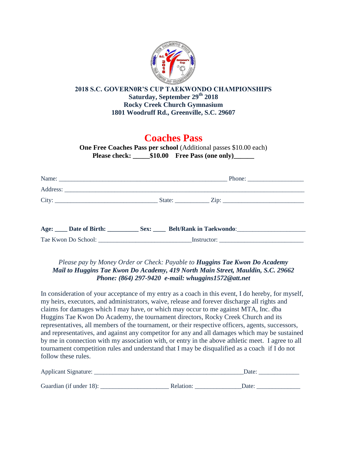

#### **2018 S.C. GOVERN0R'S CUP TAEKWONDO CHAMPIONSHIPS Saturday, September 29th 2018 Rocky Creek Church Gymnasium 1801 Woodruff Rd., Greenville, S.C. 29607**

## **Coaches Pass**

**One Free Coaches Pass per school** (Additional passes \$10.00 each) **Please check: \_\_\_\_\_\$10.00 Free Pass (one only)\_\_\_\_\_\_**

| Age: ____ Date of Birth: _________ Sex: ____ Belt/Rank in Taekwondo: _______________________________ |
|------------------------------------------------------------------------------------------------------|
|                                                                                                      |

#### *Please pay by Money Order or Check: Payable to Huggins Tae Kwon Do Academy Mail to Huggins Tae Kwon Do Academy, 419 North Main Street, Mauldin, S.C. 29662 Phone: (864) 297-9420 e-mail: whuggins1572@att.net*

In consideration of your acceptance of my entry as a coach in this event, I do hereby, for myself, my heirs, executors, and administrators, waive, release and forever discharge all rights and claims for damages which I may have, or which may occur to me against MTA, Inc. dba Huggins Tae Kwon Do Academy, the tournament directors, Rocky Creek Church and its representatives, all members of the tournament, or their respective officers, agents, successors, and representatives, and against any competitor for any and all damages which may be sustained by me in connection with my association with, or entry in the above athletic meet. I agree to all tournament competition rules and understand that I may be disqualified as a coach if I do not follow these rules.

| Applicant Signature:    |           | Date: |
|-------------------------|-----------|-------|
| Guardian (if under 18): | Relation: | Date: |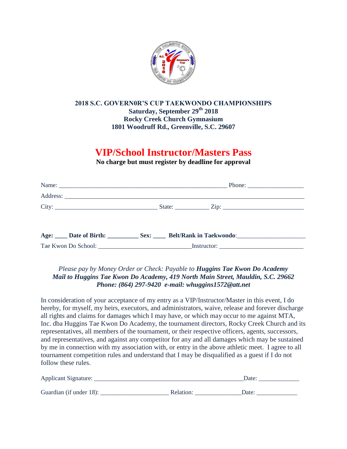

#### **2018 S.C. GOVERN0R'S CUP TAEKWONDO CHAMPIONSHIPS Saturday, September 29th 2018 Rocky Creek Church Gymnasium 1801 Woodruff Rd., Greenville, S.C. 29607**

## **VIP/School Instructor/Masters Pass**

**No charge but must register by deadline for approval**

#### *Please pay by Money Order or Check: Payable to Huggins Tae Kwon Do Academy Mail to Huggins Tae Kwon Do Academy, 419 North Main Street, Mauldin, S.C. 29662 Phone: (864) 297-9420 e-mail: whuggins1572@att.net*

In consideration of your acceptance of my entry as a VIP/Instructor/Master in this event, I do hereby, for myself, my heirs, executors, and administrators, waive, release and forever discharge all rights and claims for damages which I may have, or which may occur to me against MTA, Inc. dba Huggins Tae Kwon Do Academy, the tournament directors, Rocky Creek Church and its representatives, all members of the tournament, or their respective officers, agents, successors, and representatives, and against any competitor for any and all damages which may be sustained by me in connection with my association with, or entry in the above athletic meet. I agree to all tournament competition rules and understand that I may be disqualified as a guest if I do not follow these rules.

| Applicant Signature:    |           | Date: |  |
|-------------------------|-----------|-------|--|
|                         |           |       |  |
| Guardian (if under 18): | Relation: | Date: |  |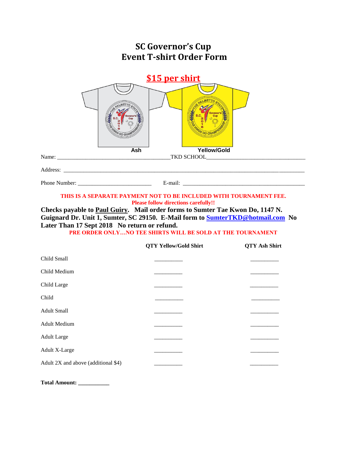| <b>SC Governor's Cup</b><br><b>Event T-shirt Order Form</b>                                                                                                                                                                                                                                                                         |                              |                      |  |  |  |
|-------------------------------------------------------------------------------------------------------------------------------------------------------------------------------------------------------------------------------------------------------------------------------------------------------------------------------------|------------------------------|----------------------|--|--|--|
| \$15 per shirt<br><b>Yellow/Gold</b><br>Ash                                                                                                                                                                                                                                                                                         |                              |                      |  |  |  |
|                                                                                                                                                                                                                                                                                                                                     |                              |                      |  |  |  |
|                                                                                                                                                                                                                                                                                                                                     |                              |                      |  |  |  |
| <b>Please follow directions carefully!!</b><br>Checks payable to Paul Guiry. Mail order forms to Sumter Tae Kwon Do, 1147 N.<br>Guignard Dr. Unit 1, Sumter, SC 29150. E-Mail form to <b>SumterTKD@hotmail.com</b> No<br>Later Than 17 Sept 2018 No return or refund.<br>PRE ORDER ONLYNO TEE SHIRTS WILL BE SOLD AT THE TOURNAMENT |                              |                      |  |  |  |
|                                                                                                                                                                                                                                                                                                                                     | <b>QTY Yellow/Gold Shirt</b> | <b>QTY Ash Shirt</b> |  |  |  |
| Child Small                                                                                                                                                                                                                                                                                                                         |                              |                      |  |  |  |
| Child Medium                                                                                                                                                                                                                                                                                                                        |                              |                      |  |  |  |
| Child Large                                                                                                                                                                                                                                                                                                                         |                              |                      |  |  |  |
| Child                                                                                                                                                                                                                                                                                                                               |                              |                      |  |  |  |
| <b>Adult Small</b>                                                                                                                                                                                                                                                                                                                  |                              |                      |  |  |  |
| <b>Adult Medium</b>                                                                                                                                                                                                                                                                                                                 |                              |                      |  |  |  |
| <b>Adult Large</b>                                                                                                                                                                                                                                                                                                                  |                              |                      |  |  |  |
| <b>Adult X-Large</b>                                                                                                                                                                                                                                                                                                                |                              |                      |  |  |  |
| Adult 2X and above (additional \$4)                                                                                                                                                                                                                                                                                                 |                              |                      |  |  |  |

**Total Amount: \_\_\_\_\_\_\_\_\_\_\_**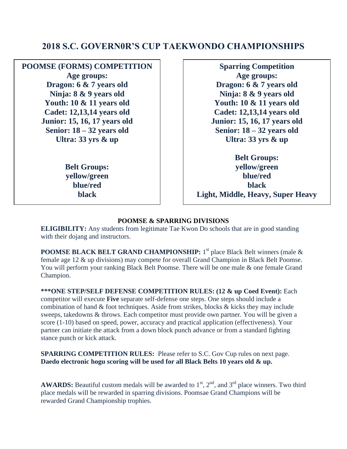### **2018 S.C. GOVERN0R'S CUP TAEKWONDO CHAMPIONSHIPS**

**POOMSE (FORMS) COMPETITION Age groups: Dragon: 6 & 7 years old Ninja: 8 & 9 years old Youth: 10 & 11 years old Cadet: 12,13,14 years old Junior: 15, 16, 17 years old Senior: 18 – 32 years old Ultra: 33 yrs & up**

> **Belt Groups: yellow/green blue/red black**

**Sparring Competition Age groups: Dragon: 6 & 7 years old Ninja: 8 & 9 years old Youth: 10 & 11 years old Cadet: 12,13,14 years old Junior: 15, 16, 17 years old Senior: 18 – 32 years old Ultra: 33 yrs & up**

**Belt Groups: yellow/green blue/red black Light, Middle, Heavy, Super Heavy**

#### **POOMSE & SPARRING DIVISIONS**

**ELIGIBILITY:** Any students from legitimate Tae Kwon Do schools that are in good standing with their dojang and instructors.

**POOMSE BLACK BELT GRAND CHAMPIONSHIP:** 1 st place Black Belt winners (male & female age 12 & up divisions) may compete for overall Grand Champion in Black Belt Poomse. You will perform your ranking Black Belt Poomse. There will be one male & one female Grand Champion.

**\*\*\*ONE STEP/SELF DEFENSE COMPETITION RULES: (12 & up Coed Event):** Each competitor will execute **Five** separate self-defense one steps. One steps should include a combination of hand & foot techniques. Aside from strikes, blocks & kicks they may include sweeps, takedowns & throws. Each competitor must provide own partner. You will be given a score (1-10) based on speed, power, accuracy and practical application (effectiveness). Your partner can initiate the attack from a down block punch advance or from a standard fighting stance punch or kick attack.

**SPARRING COMPETITION RULES:** Please refer to S.C. Gov Cup rules on next page. **Daedo electronic hogu scoring will be used for all Black Belts 10 years old & up.**

**AWARDS:** Beautiful custom medals will be awarded to  $1<sup>st</sup>$ ,  $2<sup>nd</sup>$ , and  $3<sup>rd</sup>$  place winners. Two third place medals will be rewarded in sparring divisions. Poomsae Grand Champions will be rewarded Grand Championship trophies.